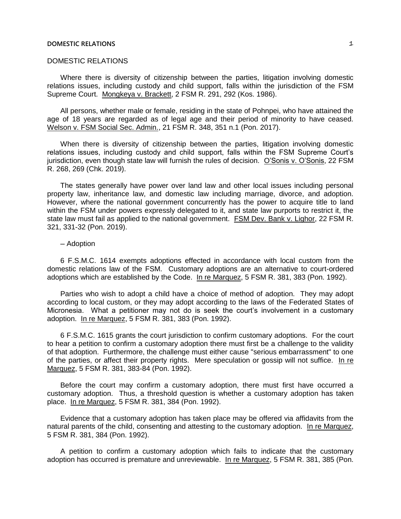## **DOMESTIC RELATIONS**  $\mathcal{I}$

## DOMESTIC RELATIONS

Where there is diversity of citizenship between the parties, litigation involving domestic relations issues, including custody and child support, falls within the jurisdiction of the FSM Supreme Court. Mongkeya v. Brackett, 2 FSM R. 291, 292 (Kos. 1986).

All persons, whether male or female, residing in the state of Pohnpei, who have attained the age of 18 years are regarded as of legal age and their period of minority to have ceased. Welson v. FSM Social Sec. Admin., 21 FSM R. 348, 351 n.1 (Pon. 2017).

When there is diversity of citizenship between the parties, litigation involving domestic relations issues, including custody and child support, falls within the FSM Supreme Court's jurisdiction, even though state law will furnish the rules of decision. O'Sonis v. O'Sonis, 22 FSM R. 268, 269 (Chk. 2019).

The states generally have power over land law and other local issues including personal property law, inheritance law, and domestic law including marriage, divorce, and adoption. However, where the national government concurrently has the power to acquire title to land within the FSM under powers expressly delegated to it, and state law purports to restrict it, the state law must fail as applied to the national government. FSM Dev. Bank v. Lighor, 22 FSM R. 321, 331-32 (Pon. 2019).

## ─ Adoption

6 F.S.M.C. 1614 exempts adoptions effected in accordance with local custom from the domestic relations law of the FSM. Customary adoptions are an alternative to court-ordered adoptions which are established by the Code. In re Marquez, 5 FSM R. 381, 383 (Pon. 1992).

Parties who wish to adopt a child have a choice of method of adoption. They may adopt according to local custom, or they may adopt according to the laws of the Federated States of Micronesia. What a petitioner may not do is seek the court's involvement in a customary adoption. In re Marquez, 5 FSM R. 381, 383 (Pon. 1992).

6 F.S.M.C. 1615 grants the court jurisdiction to confirm customary adoptions. For the court to hear a petition to confirm a customary adoption there must first be a challenge to the validity of that adoption. Furthermore, the challenge must either cause "serious embarrassment" to one of the parties, or affect their property rights. Mere speculation or gossip will not suffice. In re Marquez, 5 FSM R. 381, 383-84 (Pon. 1992).

Before the court may confirm a customary adoption, there must first have occurred a customary adoption. Thus, a threshold question is whether a customary adoption has taken place. In re Marquez, 5 FSM R. 381, 384 (Pon. 1992).

Evidence that a customary adoption has taken place may be offered via affidavits from the natural parents of the child, consenting and attesting to the customary adoption. In re Marquez, 5 FSM R. 381, 384 (Pon. 1992).

A petition to confirm a customary adoption which fails to indicate that the customary adoption has occurred is premature and unreviewable. In re Marquez, 5 FSM R. 381, 385 (Pon.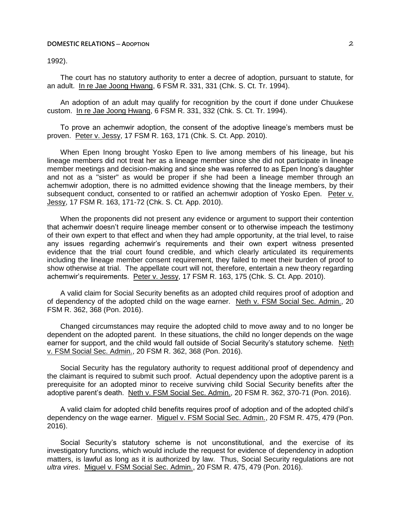## **DOMESTIC RELATIONS ─ ADOPTION** 2

1992).

The court has no statutory authority to enter a decree of adoption, pursuant to statute, for an adult. In re Jae Joong Hwang, 6 FSM R. 331, 331 (Chk. S. Ct. Tr. 1994).

An adoption of an adult may qualify for recognition by the court if done under Chuukese custom. In re Jae Joong Hwang, 6 FSM R. 331, 332 (Chk. S. Ct. Tr. 1994).

To prove an achemwir adoption, the consent of the adoptive lineage's members must be proven. Peter v. Jessy, 17 FSM R. 163, 171 (Chk. S. Ct. App. 2010).

When Epen Inong brought Yosko Epen to live among members of his lineage, but his lineage members did not treat her as a lineage member since she did not participate in lineage member meetings and decision-making and since she was referred to as Epen Inong's daughter and not as a "sister" as would be proper if she had been a lineage member through an achemwir adoption, there is no admitted evidence showing that the lineage members, by their subsequent conduct, consented to or ratified an achemwir adoption of Yosko Epen. Peter v. Jessy, 17 FSM R. 163, 171-72 (Chk. S. Ct. App. 2010).

When the proponents did not present any evidence or argument to support their contention that achemwir doesn't require lineage member consent or to otherwise impeach the testimony of their own expert to that effect and when they had ample opportunity, at the trial level, to raise any issues regarding achemwir's requirements and their own expert witness presented evidence that the trial court found credible, and which clearly articulated its requirements including the lineage member consent requirement, they failed to meet their burden of proof to show otherwise at trial. The appellate court will not, therefore, entertain a new theory regarding achemwir's requirements. Peter v. Jessy, 17 FSM R. 163, 175 (Chk. S. Ct. App. 2010).

A valid claim for Social Security benefits as an adopted child requires proof of adoption and of dependency of the adopted child on the wage earner. Neth v. FSM Social Sec. Admin., 20 FSM R. 362, 368 (Pon. 2016).

Changed circumstances may require the adopted child to move away and to no longer be dependent on the adopted parent. In these situations, the child no longer depends on the wage earner for support, and the child would fall outside of Social Security's statutory scheme. Neth v. FSM Social Sec. Admin., 20 FSM R. 362, 368 (Pon. 2016).

Social Security has the regulatory authority to request additional proof of dependency and the claimant is required to submit such proof. Actual dependency upon the adoptive parent is a prerequisite for an adopted minor to receive surviving child Social Security benefits after the adoptive parent's death. Neth v. FSM Social Sec. Admin., 20 FSM R. 362, 370-71 (Pon. 2016).

A valid claim for adopted child benefits requires proof of adoption and of the adopted child's dependency on the wage earner. Miguel v. FSM Social Sec. Admin., 20 FSM R. 475, 479 (Pon. 2016).

Social Security's statutory scheme is not unconstitutional, and the exercise of its investigatory functions, which would include the request for evidence of dependency in adoption matters, is lawful as long as it is authorized by law. Thus, Social Security regulations are not *ultra vires*. Miguel v. FSM Social Sec. Admin., 20 FSM R. 475, 479 (Pon. 2016).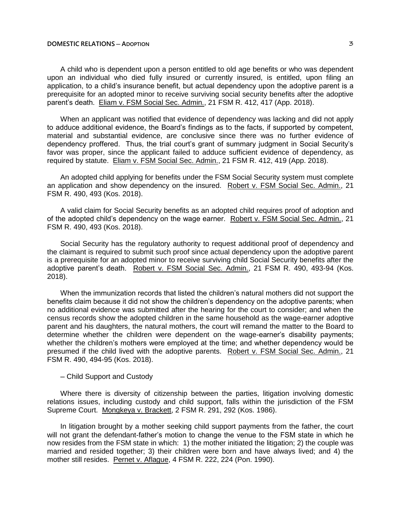## **DOMESTIC RELATIONS ─ ADOPTION** 3

A child who is dependent upon a person entitled to old age benefits or who was dependent upon an individual who died fully insured or currently insured, is entitled, upon filing an application, to a child's insurance benefit, but actual dependency upon the adoptive parent is a prerequisite for an adopted minor to receive surviving social security benefits after the adoptive parent's death. Eliam v. FSM Social Sec. Admin., 21 FSM R. 412, 417 (App. 2018).

When an applicant was notified that evidence of dependency was lacking and did not apply to adduce additional evidence, the Board's findings as to the facts, if supported by competent, material and substantial evidence, are conclusive since there was no further evidence of dependency proffered. Thus, the trial court's grant of summary judgment in Social Security's favor was proper, since the applicant failed to adduce sufficient evidence of dependency, as required by statute. Eliam v. FSM Social Sec. Admin., 21 FSM R. 412, 419 (App. 2018).

An adopted child applying for benefits under the FSM Social Security system must complete an application and show dependency on the insured. Robert v. FSM Social Sec. Admin., 21 FSM R. 490, 493 (Kos. 2018).

A valid claim for Social Security benefits as an adopted child requires proof of adoption and of the adopted child's dependency on the wage earner. Robert v. FSM Social Sec. Admin., 21 FSM R. 490, 493 (Kos. 2018).

Social Security has the regulatory authority to request additional proof of dependency and the claimant is required to submit such proof since actual dependency upon the adoptive parent is a prerequisite for an adopted minor to receive surviving child Social Security benefits after the adoptive parent's death. Robert v. FSM Social Sec. Admin., 21 FSM R. 490, 493-94 (Kos. 2018).

When the immunization records that listed the children's natural mothers did not support the benefits claim because it did not show the children's dependency on the adoptive parents; when no additional evidence was submitted after the hearing for the court to consider; and when the census records show the adopted children in the same household as the wage-earner adoptive parent and his daughters, the natural mothers, the court will remand the matter to the Board to determine whether the children were dependent on the wage-earner's disability payments; whether the children's mothers were employed at the time; and whether dependency would be presumed if the child lived with the adoptive parents. Robert v. FSM Social Sec. Admin., 21 FSM R. 490, 494-95 (Kos. 2018).

─ Child Support and Custody

Where there is diversity of citizenship between the parties, litigation involving domestic relations issues, including custody and child support, falls within the jurisdiction of the FSM Supreme Court. Mongkeya v. Brackett, 2 FSM R. 291, 292 (Kos. 1986).

In litigation brought by a mother seeking child support payments from the father, the court will not grant the defendant-father's motion to change the venue to the FSM state in which he now resides from the FSM state in which: 1) the mother initiated the litigation; 2) the couple was married and resided together; 3) their children were born and have always lived; and 4) the mother still resides. Pernet v. Aflague, 4 FSM R. 222, 224 (Pon. 1990).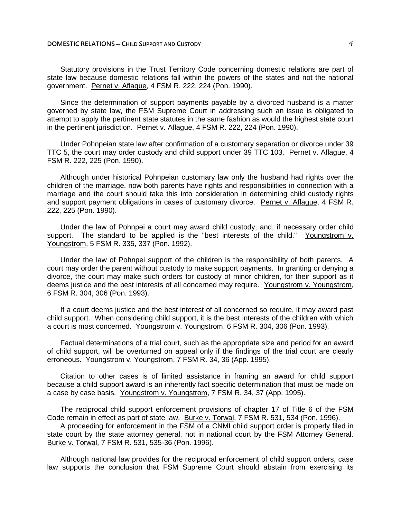Statutory provisions in the Trust Territory Code concerning domestic relations are part of state law because domestic relations fall within the powers of the states and not the national government. Pernet v. Aflague, 4 FSM R. 222, 224 (Pon. 1990).

Since the determination of support payments payable by a divorced husband is a matter governed by state law, the FSM Supreme Court in addressing such an issue is obligated to attempt to apply the pertinent state statutes in the same fashion as would the highest state court in the pertinent jurisdiction. Pernet v. Aflague, 4 FSM R. 222, 224 (Pon. 1990).

Under Pohnpeian state law after confirmation of a customary separation or divorce under 39 TTC 5, the court may order custody and child support under 39 TTC 103. Pernet v. Aflague, 4 FSM R. 222, 225 (Pon. 1990).

Although under historical Pohnpeian customary law only the husband had rights over the children of the marriage, now both parents have rights and responsibilities in connection with a marriage and the court should take this into consideration in determining child custody rights and support payment obligations in cases of customary divorce. Pernet v. Aflague, 4 FSM R. 222, 225 (Pon. 1990).

Under the law of Pohnpei a court may award child custody, and, if necessary order child support. The standard to be applied is the "best interests of the child." Youngstrom v. Youngstrom, 5 FSM R. 335, 337 (Pon. 1992).

Under the law of Pohnpei support of the children is the responsibility of both parents. A court may order the parent without custody to make support payments. In granting or denying a divorce, the court may make such orders for custody of minor children, for their support as it deems justice and the best interests of all concerned may require. Youngstrom v. Youngstrom, 6 FSM R. 304, 306 (Pon. 1993).

If a court deems justice and the best interest of all concerned so require, it may award past child support. When considering child support, it is the best interests of the children with which a court is most concerned. Youngstrom v. Youngstrom, 6 FSM R. 304, 306 (Pon. 1993).

Factual determinations of a trial court, such as the appropriate size and period for an award of child support, will be overturned on appeal only if the findings of the trial court are clearly erroneous. Youngstrom v. Youngstrom, 7 FSM R. 34, 36 (App. 1995).

Citation to other cases is of limited assistance in framing an award for child support because a child support award is an inherently fact specific determination that must be made on a case by case basis. Youngstrom v. Youngstrom, 7 FSM R. 34, 37 (App. 1995).

The reciprocal child support enforcement provisions of chapter 17 of Title 6 of the FSM Code remain in effect as part of state law. Burke v. Torwal, 7 FSM R. 531, 534 (Pon. 1996).

A proceeding for enforcement in the FSM of a CNMI child support order is properly filed in state court by the state attorney general, not in national court by the FSM Attorney General. Burke v. Torwal, 7 FSM R. 531, 535-36 (Pon. 1996).

Although national law provides for the reciprocal enforcement of child support orders, case law supports the conclusion that FSM Supreme Court should abstain from exercising its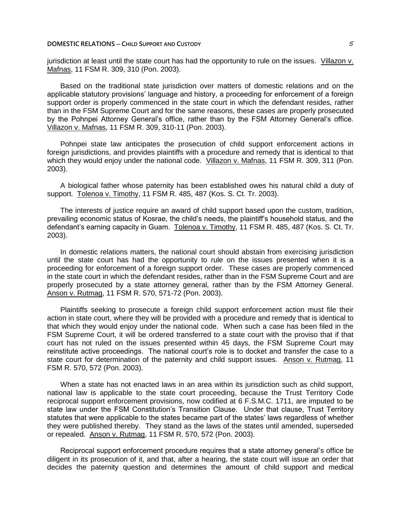### **DOMESTIC RELATIONS** — CHILD SUPPORT AND CUSTODY **And USTODY CONTRACTLY 5**

jurisdiction at least until the state court has had the opportunity to rule on the issues. Villazon v. Mafnas, 11 FSM R. 309, 310 (Pon. 2003).

Based on the traditional state jurisdiction over matters of domestic relations and on the applicable statutory provisions' language and history, a proceeding for enforcement of a foreign support order is properly commenced in the state court in which the defendant resides, rather than in the FSM Supreme Court and for the same reasons, these cases are properly prosecuted by the Pohnpei Attorney General's office, rather than by the FSM Attorney General's office. Villazon v. Mafnas, 11 FSM R. 309, 310-11 (Pon. 2003).

Pohnpei state law anticipates the prosecution of child support enforcement actions in foreign jurisdictions, and provides plaintiffs with a procedure and remedy that is identical to that which they would enjoy under the national code. Villazon v. Mafnas, 11 FSM R. 309, 311 (Pon. 2003).

A biological father whose paternity has been established owes his natural child a duty of support. Tolenoa v. Timothy, 11 FSM R. 485, 487 (Kos. S. Ct. Tr. 2003).

The interests of justice require an award of child support based upon the custom, tradition, prevailing economic status of Kosrae, the child's needs, the plaintiff's household status, and the defendant's earning capacity in Guam. Tolenoa v. Timothy, 11 FSM R. 485, 487 (Kos. S. Ct. Tr. 2003).

In domestic relations matters, the national court should abstain from exercising jurisdiction until the state court has had the opportunity to rule on the issues presented when it is a proceeding for enforcement of a foreign support order. These cases are properly commenced in the state court in which the defendant resides, rather than in the FSM Supreme Court and are properly prosecuted by a state attorney general, rather than by the FSM Attorney General. Anson v. Rutmag, 11 FSM R. 570, 571-72 (Pon. 2003).

Plaintiffs seeking to prosecute a foreign child support enforcement action must file their action in state court, where they will be provided with a procedure and remedy that is identical to that which they would enjoy under the national code. When such a case has been filed in the FSM Supreme Court, it will be ordered transferred to a state court with the proviso that if that court has not ruled on the issues presented within 45 days, the FSM Supreme Court may reinstitute active proceedings. The national court's role is to docket and transfer the case to a state court for determination of the paternity and child support issues. Anson v. Rutmag, 11 FSM R. 570, 572 (Pon. 2003).

When a state has not enacted laws in an area within its jurisdiction such as child support, national law is applicable to the state court proceeding, because the Trust Territory Code reciprocal support enforcement provisions, now codified at 6 F.S.M.C. 1711, are imputed to be state law under the FSM Constitution's Transition Clause. Under that clause, Trust Territory statutes that were applicable to the states became part of the states' laws regardless of whether they were published thereby. They stand as the laws of the states until amended, superseded or repealed. Anson v. Rutmag, 11 FSM R. 570, 572 (Pon. 2003).

Reciprocal support enforcement procedure requires that a state attorney general's office be diligent in its prosecution of it, and that, after a hearing, the state court will issue an order that decides the paternity question and determines the amount of child support and medical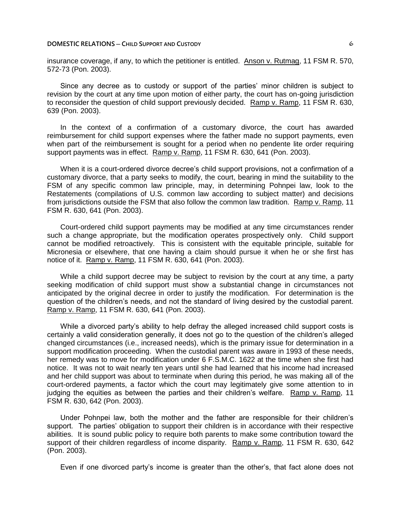### **DOMESTIC RELATIONS** — CHILD SUPPORT AND CUSTODY **CONTRACTLY CONTRACTLY CONTRACTLY CONTRACTLY**

insurance coverage, if any, to which the petitioner is entitled. Anson v. Rutmag, 11 FSM R. 570, 572-73 (Pon. 2003).

Since any decree as to custody or support of the parties' minor children is subject to revision by the court at any time upon motion of either party, the court has on-going jurisdiction to reconsider the question of child support previously decided. Ramp v. Ramp, 11 FSM R. 630, 639 (Pon. 2003).

In the context of a confirmation of a customary divorce, the court has awarded reimbursement for child support expenses where the father made no support payments, even when part of the reimbursement is sought for a period when no pendente lite order requiring support payments was in effect. Ramp v. Ramp, 11 FSM R. 630, 641 (Pon. 2003).

When it is a court-ordered divorce decree's child support provisions, not a confirmation of a customary divorce, that a party seeks to modify, the court, bearing in mind the suitability to the FSM of any specific common law principle, may, in determining Pohnpei law, look to the Restatements (compilations of U.S. common law according to subject matter) and decisions from jurisdictions outside the FSM that also follow the common law tradition. Ramp v. Ramp, 11 FSM R. 630, 641 (Pon. 2003).

Court-ordered child support payments may be modified at any time circumstances render such a change appropriate, but the modification operates prospectively only. Child support cannot be modified retroactively. This is consistent with the equitable principle, suitable for Micronesia or elsewhere, that one having a claim should pursue it when he or she first has notice of it. Ramp v. Ramp, 11 FSM R. 630, 641 (Pon. 2003).

While a child support decree may be subject to revision by the court at any time, a party seeking modification of child support must show a substantial change in circumstances not anticipated by the original decree in order to justify the modification. For determination is the question of the children's needs, and not the standard of living desired by the custodial parent. Ramp v. Ramp, 11 FSM R. 630, 641 (Pon. 2003).

While a divorced party's ability to help defray the alleged increased child support costs is certainly a valid consideration generally, it does not go to the question of the children's alleged changed circumstances (i.e., increased needs), which is the primary issue for determination in a support modification proceeding. When the custodial parent was aware in 1993 of these needs, her remedy was to move for modification under 6 F.S.M.C. 1622 at the time when she first had notice. It was not to wait nearly ten years until she had learned that his income had increased and her child support was about to terminate when during this period, he was making all of the court-ordered payments, a factor which the court may legitimately give some attention to in judging the equities as between the parties and their children's welfare. Ramp v. Ramp, 11 FSM R. 630, 642 (Pon. 2003).

Under Pohnpei law, both the mother and the father are responsible for their children's support. The parties' obligation to support their children is in accordance with their respective abilities. It is sound public policy to require both parents to make some contribution toward the support of their children regardless of income disparity. Ramp v. Ramp, 11 FSM R. 630, 642 (Pon. 2003).

Even if one divorced party's income is greater than the other's, that fact alone does not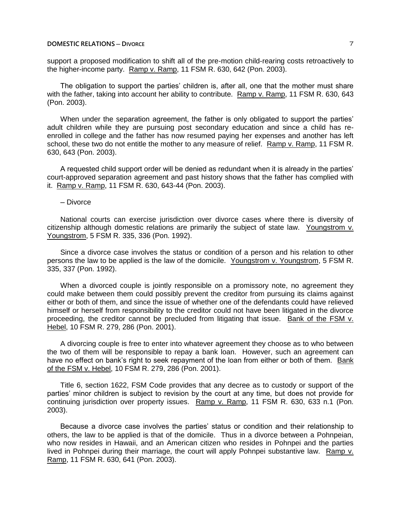## **DOMESTIC RELATIONS ─ DIVORCE** 7

support a proposed modification to shift all of the pre-motion child-rearing costs retroactively to the higher-income party. Ramp v. Ramp, 11 FSM R. 630, 642 (Pon. 2003).

The obligation to support the parties' children is, after all, one that the mother must share with the father, taking into account her ability to contribute. Ramp v. Ramp, 11 FSM R. 630, 643 (Pon. 2003).

When under the separation agreement, the father is only obligated to support the parties' adult children while they are pursuing post secondary education and since a child has reenrolled in college and the father has now resumed paying her expenses and another has left school, these two do not entitle the mother to any measure of relief. Ramp v. Ramp, 11 FSM R. 630, 643 (Pon. 2003).

A requested child support order will be denied as redundant when it is already in the parties' court-approved separation agreement and past history shows that the father has complied with it. Ramp v. Ramp, 11 FSM R. 630, 643-44 (Pon. 2003).

─ Divorce

National courts can exercise jurisdiction over divorce cases where there is diversity of citizenship although domestic relations are primarily the subject of state law. Youngstrom v. Youngstrom, 5 FSM R. 335, 336 (Pon. 1992).

Since a divorce case involves the status or condition of a person and his relation to other persons the law to be applied is the law of the domicile. Youngstrom v. Youngstrom, 5 FSM R. 335, 337 (Pon. 1992).

When a divorced couple is jointly responsible on a promissory note, no agreement they could make between them could possibly prevent the creditor from pursuing its claims against either or both of them, and since the issue of whether one of the defendants could have relieved himself or herself from responsibility to the creditor could not have been litigated in the divorce proceeding, the creditor cannot be precluded from litigating that issue. Bank of the FSM v. Hebel, 10 FSM R. 279, 286 (Pon. 2001).

A divorcing couple is free to enter into whatever agreement they choose as to who between the two of them will be responsible to repay a bank loan. However, such an agreement can have no effect on bank's right to seek repayment of the loan from either or both of them. Bank of the FSM v. Hebel, 10 FSM R. 279, 286 (Pon. 2001).

Title 6, section 1622, FSM Code provides that any decree as to custody or support of the parties' minor children is subject to revision by the court at any time, but does not provide for continuing jurisdiction over property issues. Ramp v. Ramp, 11 FSM R. 630, 633 n.1 (Pon. 2003).

Because a divorce case involves the parties' status or condition and their relationship to others, the law to be applied is that of the domicile. Thus in a divorce between a Pohnpeian, who now resides in Hawaii, and an American citizen who resides in Pohnpei and the parties lived in Pohnpei during their marriage, the court will apply Pohnpei substantive law. Ramp v. Ramp, 11 FSM R. 630, 641 (Pon. 2003).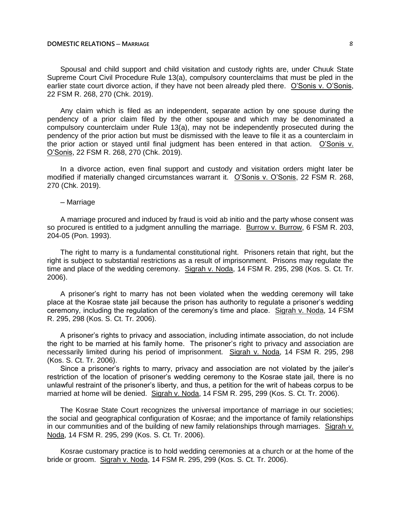### **DOMESTIC RELATIONS ─ MARRIAGE** 8

Spousal and child support and child visitation and custody rights are, under Chuuk State Supreme Court Civil Procedure Rule 13(a), compulsory counterclaims that must be pled in the earlier state court divorce action, if they have not been already pled there. O'Sonis v. O'Sonis, 22 FSM R. 268, 270 (Chk. 2019).

Any claim which is filed as an independent, separate action by one spouse during the pendency of a prior claim filed by the other spouse and which may be denominated a compulsory counterclaim under Rule 13(a), may not be independently prosecuted during the pendency of the prior action but must be dismissed with the leave to file it as a counterclaim in the prior action or stayed until final judgment has been entered in that action. O'Sonis v. O'Sonis, 22 FSM R. 268, 270 (Chk. 2019).

In a divorce action, even final support and custody and visitation orders might later be modified if materially changed circumstances warrant it. O'Sonis v. O'Sonis, 22 FSM R. 268, 270 (Chk. 2019).

─ Marriage

A marriage procured and induced by fraud is void ab initio and the party whose consent was so procured is entitled to a judgment annulling the marriage. Burrow v. Burrow, 6 FSM R. 203, 204-05 (Pon. 1993).

The right to marry is a fundamental constitutional right. Prisoners retain that right, but the right is subject to substantial restrictions as a result of imprisonment. Prisons may regulate the time and place of the wedding ceremony. Sigrah v. Noda, 14 FSM R. 295, 298 (Kos. S. Ct. Tr. 2006).

A prisoner's right to marry has not been violated when the wedding ceremony will take place at the Kosrae state jail because the prison has authority to regulate a prisoner's wedding ceremony, including the regulation of the ceremony's time and place. Sigrah v. Noda, 14 FSM R. 295, 298 (Kos. S. Ct. Tr. 2006).

A prisoner's rights to privacy and association, including intimate association, do not include the right to be married at his family home. The prisoner's right to privacy and association are necessarily limited during his period of imprisonment. Sigrah v. Noda, 14 FSM R. 295, 298 (Kos. S. Ct. Tr. 2006).

Since a prisoner's rights to marry, privacy and association are not violated by the jailer's restriction of the location of prisoner's wedding ceremony to the Kosrae state jail, there is no unlawful restraint of the prisoner's liberty, and thus, a petition for the writ of habeas corpus to be married at home will be denied. Sigrah v. Noda, 14 FSM R. 295, 299 (Kos. S. Ct. Tr. 2006).

The Kosrae State Court recognizes the universal importance of marriage in our societies; the social and geographical configuration of Kosrae; and the importance of family relationships in our communities and of the building of new family relationships through marriages. Sigrah v. Noda, 14 FSM R. 295, 299 (Kos. S. Ct. Tr. 2006).

Kosrae customary practice is to hold wedding ceremonies at a church or at the home of the bride or groom. Sigrah v. Noda, 14 FSM R. 295, 299 (Kos. S. Ct. Tr. 2006).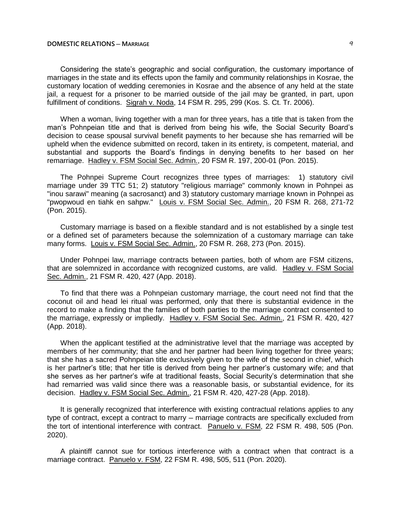## **DOMESTIC RELATIONS ─ MARRIAGE** 9

Considering the state's geographic and social configuration, the customary importance of marriages in the state and its effects upon the family and community relationships in Kosrae, the customary location of wedding ceremonies in Kosrae and the absence of any held at the state iail, a request for a prisoner to be married outside of the jail may be granted, in part, upon fulfillment of conditions. Sigrah v. Noda, 14 FSM R. 295, 299 (Kos. S. Ct. Tr. 2006).

When a woman, living together with a man for three years, has a title that is taken from the man's Pohnpeian title and that is derived from being his wife, the Social Security Board's decision to cease spousal survival benefit payments to her because she has remarried will be upheld when the evidence submitted on record, taken in its entirety, is competent, material, and substantial and supports the Board's findings in denying benefits to her based on her remarriage. Hadley v. FSM Social Sec. Admin., 20 FSM R. 197, 200-01 (Pon. 2015).

The Pohnpei Supreme Court recognizes three types of marriages: 1) statutory civil marriage under 39 TTC 51; 2) statutory "religious marriage" commonly known in Pohnpei as "inou sarawi" meaning (a sacrosanct) and 3) statutory customary marriage known in Pohnpei as "pwopwoud en tiahk en sahpw." Louis v. FSM Social Sec. Admin., 20 FSM R. 268, 271-72 (Pon. 2015).

Customary marriage is based on a flexible standard and is not established by a single test or a defined set of parameters because the solemnization of a customary marriage can take many forms. Louis v. FSM Social Sec. Admin., 20 FSM R. 268, 273 (Pon. 2015).

Under Pohnpei law, marriage contracts between parties, both of whom are FSM citizens, that are solemnized in accordance with recognized customs, are valid. Hadley v. FSM Social Sec. Admin., 21 FSM R. 420, 427 (App. 2018).

To find that there was a Pohnpeian customary marriage, the court need not find that the coconut oil and head lei ritual was performed, only that there is substantial evidence in the record to make a finding that the families of both parties to the marriage contract consented to the marriage, expressly or impliedly. Hadley v. FSM Social Sec. Admin., 21 FSM R. 420, 427 (App. 2018).

When the applicant testified at the administrative level that the marriage was accepted by members of her community; that she and her partner had been living together for three years; that she has a sacred Pohnpeian title exclusively given to the wife of the second in chief, which is her partner's title; that her title is derived from being her partner's customary wife; and that she serves as her partner's wife at traditional feasts, Social Security's determination that she had remarried was valid since there was a reasonable basis, or substantial evidence, for its decision. Hadley v. FSM Social Sec. Admin., 21 FSM R. 420, 427-28 (App. 2018).

It is generally recognized that interference with existing contractual relations applies to any type of contract, except a contract to marry – marriage contracts are specifically excluded from the tort of intentional interference with contract. Panuelo v. FSM, 22 FSM R. 498, 505 (Pon. 2020).

A plaintiff cannot sue for tortious interference with a contract when that contract is a marriage contract. Panuelo v. FSM, 22 FSM R. 498, 505, 511 (Pon. 2020).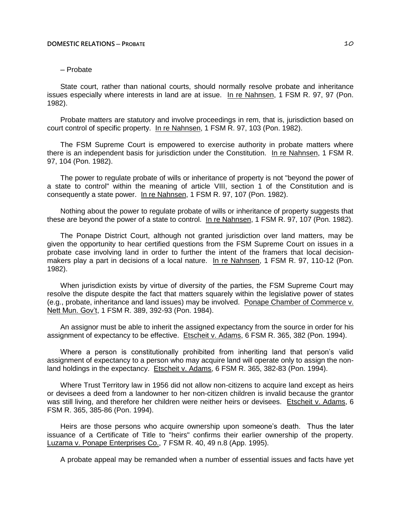# ─ Probate

State court, rather than national courts, should normally resolve probate and inheritance issues especially where interests in land are at issue. In re Nahnsen, 1 FSM R. 97, 97 (Pon. 1982).

Probate matters are statutory and involve proceedings in rem, that is, jurisdiction based on court control of specific property. In re Nahnsen, 1 FSM R. 97, 103 (Pon. 1982).

The FSM Supreme Court is empowered to exercise authority in probate matters where there is an independent basis for jurisdiction under the Constitution. In re Nahnsen, 1 FSM R. 97, 104 (Pon. 1982).

The power to regulate probate of wills or inheritance of property is not "beyond the power of a state to control" within the meaning of article VIII, section 1 of the Constitution and is consequently a state power. In re Nahnsen, 1 FSM R. 97, 107 (Pon. 1982).

Nothing about the power to regulate probate of wills or inheritance of property suggests that these are beyond the power of a state to control. In re Nahnsen, 1 FSM R. 97, 107 (Pon. 1982).

The Ponape District Court, although not granted jurisdiction over land matters, may be given the opportunity to hear certified questions from the FSM Supreme Court on issues in a probate case involving land in order to further the intent of the framers that local decisionmakers play a part in decisions of a local nature. In re Nahnsen, 1 FSM R. 97, 110-12 (Pon. 1982).

When jurisdiction exists by virtue of diversity of the parties, the FSM Supreme Court may resolve the dispute despite the fact that matters squarely within the legislative power of states (e.g., probate, inheritance and land issues) may be involved. Ponape Chamber of Commerce v. Nett Mun. Gov't, 1 FSM R. 389, 392-93 (Pon. 1984).

An assignor must be able to inherit the assigned expectancy from the source in order for his assignment of expectancy to be effective. Etscheit v. Adams, 6 FSM R. 365, 382 (Pon. 1994).

Where a person is constitutionally prohibited from inheriting land that person's valid assignment of expectancy to a person who may acquire land will operate only to assign the nonland holdings in the expectancy. Etscheit v. Adams, 6 FSM R. 365, 382-83 (Pon. 1994).

Where Trust Territory law in 1956 did not allow non-citizens to acquire land except as heirs or devisees a deed from a landowner to her non-citizen children is invalid because the grantor was still living, and therefore her children were neither heirs or devisees. Etscheit v. Adams, 6 FSM R. 365, 385-86 (Pon. 1994).

Heirs are those persons who acquire ownership upon someone's death. Thus the later issuance of a Certificate of Title to "heirs" confirms their earlier ownership of the property. Luzama v. Ponape Enterprises Co., 7 FSM R. 40, 49 n.8 (App. 1995).

A probate appeal may be remanded when a number of essential issues and facts have yet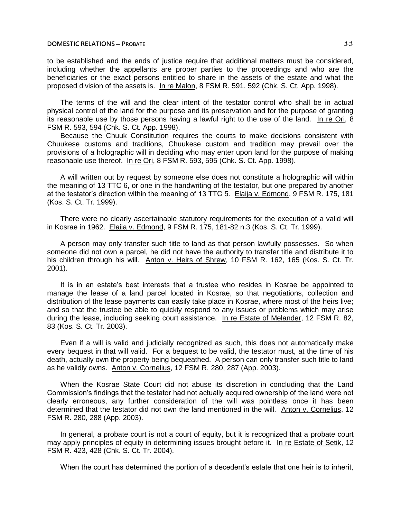to be established and the ends of justice require that additional matters must be considered, including whether the appellants are proper parties to the proceedings and who are the beneficiaries or the exact persons entitled to share in the assets of the estate and what the proposed division of the assets is. In re Malon, 8 FSM R. 591, 592 (Chk. S. Ct. App. 1998).

The terms of the will and the clear intent of the testator control who shall be in actual physical control of the land for the purpose and its preservation and for the purpose of granting its reasonable use by those persons having a lawful right to the use of the land. In re Ori, 8 FSM R. 593, 594 (Chk. S. Ct. App. 1998).

Because the Chuuk Constitution requires the courts to make decisions consistent with Chuukese customs and traditions, Chuukese custom and tradition may prevail over the provisions of a holographic will in deciding who may enter upon land for the purpose of making reasonable use thereof. In re Ori, 8 FSM R. 593, 595 (Chk. S. Ct. App. 1998).

A will written out by request by someone else does not constitute a holographic will within the meaning of 13 TTC 6, or one in the handwriting of the testator, but one prepared by another at the testator's direction within the meaning of 13 TTC 5. Elaija v. Edmond, 9 FSM R. 175, 181 (Kos. S. Ct. Tr. 1999).

There were no clearly ascertainable statutory requirements for the execution of a valid will in Kosrae in 1962. Elaija v. Edmond, 9 FSM R. 175, 181-82 n.3 (Kos. S. Ct. Tr. 1999).

A person may only transfer such title to land as that person lawfully possesses. So when someone did not own a parcel, he did not have the authority to transfer title and distribute it to his children through his will. Anton v. Heirs of Shrew, 10 FSM R. 162, 165 (Kos. S. Ct. Tr. 2001).

It is in an estate's best interests that a trustee who resides in Kosrae be appointed to manage the lease of a land parcel located in Kosrae, so that negotiations, collection and distribution of the lease payments can easily take place in Kosrae, where most of the heirs live; and so that the trustee be able to quickly respond to any issues or problems which may arise during the lease, including seeking court assistance. In re Estate of Melander, 12 FSM R. 82, 83 (Kos. S. Ct. Tr. 2003).

Even if a will is valid and judicially recognized as such, this does not automatically make every bequest in that will valid. For a bequest to be valid, the testator must, at the time of his death, actually own the property being bequeathed. A person can only transfer such title to land as he validly owns. Anton v. Cornelius, 12 FSM R. 280, 287 (App. 2003).

When the Kosrae State Court did not abuse its discretion in concluding that the Land Commission's findings that the testator had not actually acquired ownership of the land were not clearly erroneous, any further consideration of the will was pointless once it has been determined that the testator did not own the land mentioned in the will. Anton v. Cornelius, 12 FSM R. 280, 288 (App. 2003).

In general, a probate court is not a court of equity, but it is recognized that a probate court may apply principles of equity in determining issues brought before it. In re Estate of Setik, 12 FSM R. 423, 428 (Chk. S. Ct. Tr. 2004).

When the court has determined the portion of a decedent's estate that one heir is to inherit,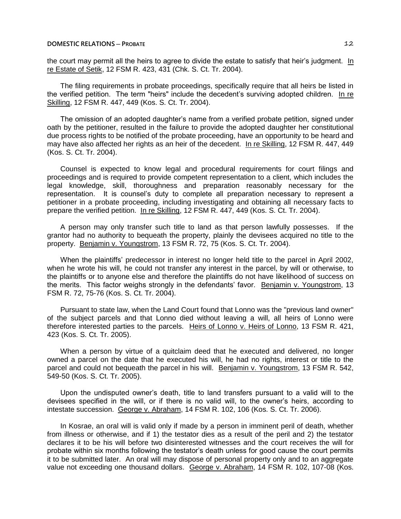the court may permit all the heirs to agree to divide the estate to satisfy that heir's judgment. In re Estate of Setik, 12 FSM R. 423, 431 (Chk. S. Ct. Tr. 2004).

The filing requirements in probate proceedings, specifically require that all heirs be listed in the verified petition. The term "heirs" include the decedent's surviving adopted children. In re Skilling, 12 FSM R. 447, 449 (Kos. S. Ct. Tr. 2004).

The omission of an adopted daughter's name from a verified probate petition, signed under oath by the petitioner, resulted in the failure to provide the adopted daughter her constitutional due process rights to be notified of the probate proceeding, have an opportunity to be heard and may have also affected her rights as an heir of the decedent. In re Skilling, 12 FSM R. 447, 449 (Kos. S. Ct. Tr. 2004).

Counsel is expected to know legal and procedural requirements for court filings and proceedings and is required to provide competent representation to a client, which includes the legal knowledge, skill, thoroughness and preparation reasonably necessary for the representation. It is counsel's duty to complete all preparation necessary to represent a petitioner in a probate proceeding, including investigating and obtaining all necessary facts to prepare the verified petition. In re Skilling, 12 FSM R. 447, 449 (Kos. S. Ct. Tr. 2004).

A person may only transfer such title to land as that person lawfully possesses. If the grantor had no authority to bequeath the property, plainly the devisees acquired no title to the property. Benjamin v. Youngstrom, 13 FSM R. 72, 75 (Kos. S. Ct. Tr. 2004).

When the plaintiffs' predecessor in interest no longer held title to the parcel in April 2002, when he wrote his will, he could not transfer any interest in the parcel, by will or otherwise, to the plaintiffs or to anyone else and therefore the plaintiffs do not have likelihood of success on the merits. This factor weighs strongly in the defendants' favor. Benjamin v. Youngstrom, 13 FSM R. 72, 75-76 (Kos. S. Ct. Tr. 2004).

Pursuant to state law, when the Land Court found that Lonno was the "previous land owner" of the subject parcels and that Lonno died without leaving a will, all heirs of Lonno were therefore interested parties to the parcels. Heirs of Lonno v. Heirs of Lonno, 13 FSM R. 421, 423 (Kos. S. Ct. Tr. 2005).

When a person by virtue of a quitclaim deed that he executed and delivered, no longer owned a parcel on the date that he executed his will, he had no rights, interest or title to the parcel and could not bequeath the parcel in his will. Benjamin v. Youngstrom, 13 FSM R. 542, 549-50 (Kos. S. Ct. Tr. 2005).

Upon the undisputed owner's death, title to land transfers pursuant to a valid will to the devisees specified in the will, or if there is no valid will, to the owner's heirs, according to intestate succession. George v. Abraham, 14 FSM R. 102, 106 (Kos. S. Ct. Tr. 2006).

In Kosrae, an oral will is valid only if made by a person in imminent peril of death, whether from illness or otherwise, and if 1) the testator dies as a result of the peril and 2) the testator declares it to be his will before two disinterested witnesses and the court receives the will for probate within six months following the testator's death unless for good cause the court permits it to be submitted later. An oral will may dispose of personal property only and to an aggregate value not exceeding one thousand dollars. George v. Abraham, 14 FSM R. 102, 107-08 (Kos.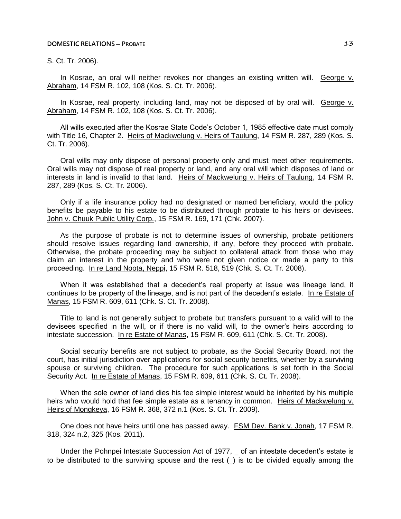S. Ct. Tr. 2006).

In Kosrae, an oral will neither revokes nor changes an existing written will. George v. Abraham, 14 FSM R. 102, 108 (Kos. S. Ct. Tr. 2006).

In Kosrae, real property, including land, may not be disposed of by oral will. George v. Abraham, 14 FSM R. 102, 108 (Kos. S. Ct. Tr. 2006).

All wills executed after the Kosrae State Code's October 1, 1985 effective date must comply with Title 16, Chapter 2. Heirs of Mackwelung v. Heirs of Taulung, 14 FSM R. 287, 289 (Kos. S. Ct. Tr. 2006).

Oral wills may only dispose of personal property only and must meet other requirements. Oral wills may not dispose of real property or land, and any oral will which disposes of land or interests in land is invalid to that land. Heirs of Mackwelung v. Heirs of Taulung, 14 FSM R. 287, 289 (Kos. S. Ct. Tr. 2006).

Only if a life insurance policy had no designated or named beneficiary, would the policy benefits be payable to his estate to be distributed through probate to his heirs or devisees. John v. Chuuk Public Utility Corp., 15 FSM R. 169, 171 (Chk. 2007).

As the purpose of probate is not to determine issues of ownership, probate petitioners should resolve issues regarding land ownership, if any, before they proceed with probate. Otherwise, the probate proceeding may be subject to collateral attack from those who may claim an interest in the property and who were not given notice or made a party to this proceeding. In re Land Noota, Neppi, 15 FSM R. 518, 519 (Chk. S. Ct. Tr. 2008).

When it was established that a decedent's real property at issue was lineage land, it continues to be property of the lineage, and is not part of the decedent's estate. In re Estate of Manas, 15 FSM R. 609, 611 (Chk. S. Ct. Tr. 2008).

Title to land is not generally subject to probate but transfers pursuant to a valid will to the devisees specified in the will, or if there is no valid will, to the owner's heirs according to intestate succession. In re Estate of Manas, 15 FSM R. 609, 611 (Chk. S. Ct. Tr. 2008).

Social security benefits are not subject to probate, as the Social Security Board, not the court, has initial jurisdiction over applications for social security benefits, whether by a surviving spouse or surviving children. The procedure for such applications is set forth in the Social Security Act. In re Estate of Manas, 15 FSM R. 609, 611 (Chk. S. Ct. Tr. 2008).

When the sole owner of land dies his fee simple interest would be inherited by his multiple heirs who would hold that fee simple estate as a tenancy in common. Heirs of Mackwelung v. Heirs of Mongkeya, 16 FSM R. 368, 372 n.1 (Kos. S. Ct. Tr. 2009).

One does not have heirs until one has passed away. FSM Dev. Bank v. Jonah, 17 FSM R. 318, 324 n.2, 325 (Kos. 2011).

Under the Pohnpei Intestate Succession Act of 1977, of an intestate decedent's estate is to be distributed to the surviving spouse and the rest () is to be divided equally among the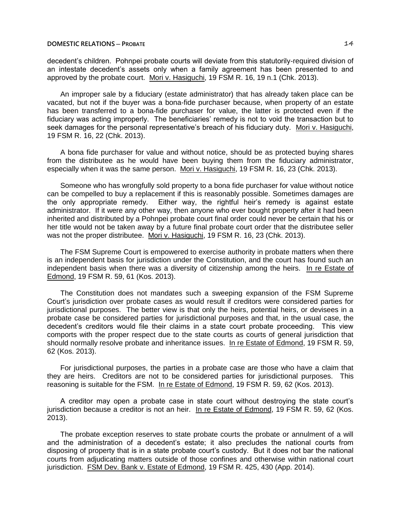decedent's children. Pohnpei probate courts will deviate from this statutorily-required division of an intestate decedent's assets only when a family agreement has been presented to and approved by the probate court. Mori v. Hasiguchi, 19 FSM R. 16, 19 n.1 (Chk. 2013).

An improper sale by a fiduciary (estate administrator) that has already taken place can be vacated, but not if the buyer was a bona-fide purchaser because, when property of an estate has been transferred to a bona-fide purchaser for value, the latter is protected even if the fiduciary was acting improperly. The beneficiaries' remedy is not to void the transaction but to seek damages for the personal representative's breach of his fiduciary duty. Mori v. Hasiguchi, 19 FSM R. 16, 22 (Chk. 2013).

A bona fide purchaser for value and without notice, should be as protected buying shares from the distributee as he would have been buying them from the fiduciary administrator, especially when it was the same person. Mori v. Hasiguchi, 19 FSM R. 16, 23 (Chk. 2013).

Someone who has wrongfully sold property to a bona fide purchaser for value without notice can be compelled to buy a replacement if this is reasonably possible. Sometimes damages are the only appropriate remedy. Either way, the rightful heir's remedy is against estate administrator. If it were any other way, then anyone who ever bought property after it had been inherited and distributed by a Pohnpei probate court final order could never be certain that his or her title would not be taken away by a future final probate court order that the distributee seller was not the proper distributee. Mori v. Hasiguchi, 19 FSM R. 16, 23 (Chk. 2013).

The FSM Supreme Court is empowered to exercise authority in probate matters when there is an independent basis for jurisdiction under the Constitution, and the court has found such an independent basis when there was a diversity of citizenship among the heirs. In re Estate of Edmond, 19 FSM R. 59, 61 (Kos. 2013).

The Constitution does not mandates such a sweeping expansion of the FSM Supreme Court's jurisdiction over probate cases as would result if creditors were considered parties for jurisdictional purposes. The better view is that only the heirs, potential heirs, or devisees in a probate case be considered parties for jurisdictional purposes and that, in the usual case, the decedent's creditors would file their claims in a state court probate proceeding. This view comports with the proper respect due to the state courts as courts of general jurisdiction that should normally resolve probate and inheritance issues. In re Estate of Edmond, 19 FSM R. 59, 62 (Kos. 2013).

For jurisdictional purposes, the parties in a probate case are those who have a claim that they are heirs. Creditors are not to be considered parties for jurisdictional purposes. This reasoning is suitable for the FSM. In re Estate of Edmond, 19 FSM R. 59, 62 (Kos. 2013).

A creditor may open a probate case in state court without destroying the state court's jurisdiction because a creditor is not an heir. In re Estate of Edmond, 19 FSM R. 59, 62 (Kos. 2013).

The probate exception reserves to state probate courts the probate or annulment of a will and the administration of a decedent's estate; it also precludes the national courts from disposing of property that is in a state probate court's custody. But it does not bar the national courts from adjudicating matters outside of those confines and otherwise within national court jurisdiction. FSM Dev. Bank v. Estate of Edmond, 19 FSM R. 425, 430 (App. 2014).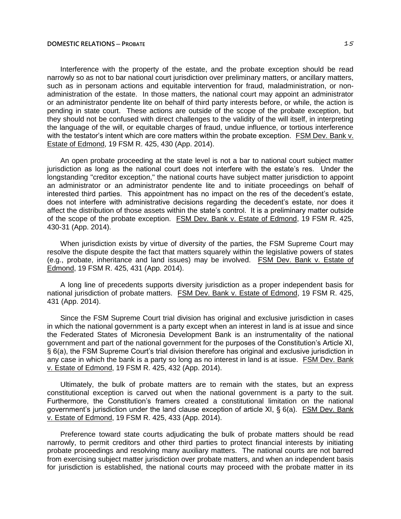Interference with the property of the estate, and the probate exception should be read narrowly so as not to bar national court jurisdiction over preliminary matters, or ancillary matters, such as in personam actions and equitable intervention for fraud, maladministration, or nonadministration of the estate. In those matters, the national court may appoint an administrator or an administrator pendente lite on behalf of third party interests before, or while, the action is pending in state court. These actions are outside of the scope of the probate exception, but they should not be confused with direct challenges to the validity of the will itself, in interpreting the language of the will, or equitable charges of fraud, undue influence, or tortious interference with the testator's intent which are core matters within the probate exception. FSM Dev. Bank v. Estate of Edmond, 19 FSM R. 425, 430 (App. 2014).

An open probate proceeding at the state level is not a bar to national court subject matter jurisdiction as long as the national court does not interfere with the estate's res. Under the longstanding "creditor exception," the national courts have subject matter jurisdiction to appoint an administrator or an administrator pendente lite and to initiate proceedings on behalf of interested third parties. This appointment has no impact on the res of the decedent's estate, does not interfere with administrative decisions regarding the decedent's estate, nor does it affect the distribution of those assets within the state's control. It is a preliminary matter outside of the scope of the probate exception. FSM Dev. Bank v. Estate of Edmond, 19 FSM R. 425, 430-31 (App. 2014).

When jurisdiction exists by virtue of diversity of the parties, the FSM Supreme Court may resolve the dispute despite the fact that matters squarely within the legislative powers of states (e.g., probate, inheritance and land issues) may be involved. FSM Dev. Bank v. Estate of Edmond, 19 FSM R. 425, 431 (App. 2014).

A long line of precedents supports diversity jurisdiction as a proper independent basis for national jurisdiction of probate matters. FSM Dev. Bank v. Estate of Edmond, 19 FSM R. 425, 431 (App. 2014).

Since the FSM Supreme Court trial division has original and exclusive jurisdiction in cases in which the national government is a party except when an interest in land is at issue and since the Federated States of Micronesia Development Bank is an instrumentality of the national government and part of the national government for the purposes of the Constitution's Article XI, § 6(a), the FSM Supreme Court's trial division therefore has original and exclusive jurisdiction in any case in which the bank is a party so long as no interest in land is at issue. FSM Dev. Bank v. Estate of Edmond, 19 FSM R. 425, 432 (App. 2014).

Ultimately, the bulk of probate matters are to remain with the states, but an express constitutional exception is carved out when the national government is a party to the suit. Furthermore, the Constitution's framers created a constitutional limitation on the national government's jurisdiction under the land clause exception of article XI, § 6(a). FSM Dev. Bank v. Estate of Edmond, 19 FSM R. 425, 433 (App. 2014).

Preference toward state courts adjudicating the bulk of probate matters should be read narrowly, to permit creditors and other third parties to protect financial interests by initiating probate proceedings and resolving many auxiliary matters. The national courts are not barred from exercising subject matter jurisdiction over probate matters, and when an independent basis for jurisdiction is established, the national courts may proceed with the probate matter in its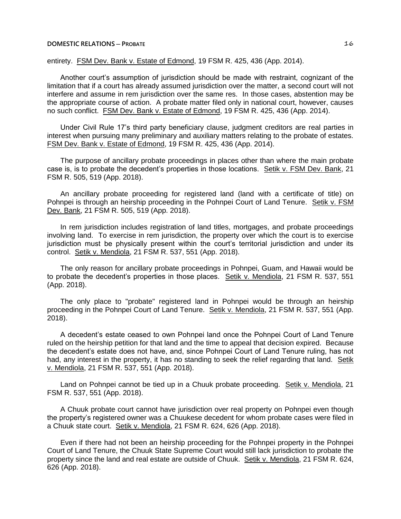# entirety. FSM Dev. Bank v. Estate of Edmond, 19 FSM R. 425, 436 (App. 2014).

Another court's assumption of jurisdiction should be made with restraint, cognizant of the limitation that if a court has already assumed jurisdiction over the matter, a second court will not interfere and assume in rem jurisdiction over the same res. In those cases, abstention may be the appropriate course of action. A probate matter filed only in national court, however, causes no such conflict. FSM Dev. Bank v. Estate of Edmond, 19 FSM R. 425, 436 (App. 2014).

Under Civil Rule 17's third party beneficiary clause, judgment creditors are real parties in interest when pursuing many preliminary and auxiliary matters relating to the probate of estates. FSM Dev. Bank v. Estate of Edmond, 19 FSM R. 425, 436 (App. 2014).

The purpose of ancillary probate proceedings in places other than where the main probate case is, is to probate the decedent's properties in those locations. Setik v. FSM Dev. Bank, 21 FSM R. 505, 519 (App. 2018).

An ancillary probate proceeding for registered land (land with a certificate of title) on Pohnpei is through an heirship proceeding in the Pohnpei Court of Land Tenure. Setik v. FSM Dev. Bank, 21 FSM R. 505, 519 (App. 2018).

In rem jurisdiction includes registration of land titles, mortgages, and probate proceedings involving land. To exercise in rem jurisdiction, the property over which the court is to exercise jurisdiction must be physically present within the court's territorial jurisdiction and under its control. Setik v. Mendiola, 21 FSM R. 537, 551 (App. 2018).

The only reason for ancillary probate proceedings in Pohnpei, Guam, and Hawaii would be to probate the decedent's properties in those places. Setik v. Mendiola, 21 FSM R. 537, 551 (App. 2018).

The only place to "probate" registered land in Pohnpei would be through an heirship proceeding in the Pohnpei Court of Land Tenure. Setik v. Mendiola, 21 FSM R. 537, 551 (App. 2018).

A decedent's estate ceased to own Pohnpei land once the Pohnpei Court of Land Tenure ruled on the heirship petition for that land and the time to appeal that decision expired. Because the decedent's estate does not have, and, since Pohnpei Court of Land Tenure ruling, has not had, any interest in the property, it has no standing to seek the relief regarding that land. Setik v. Mendiola, 21 FSM R. 537, 551 (App. 2018).

Land on Pohnpei cannot be tied up in a Chuuk probate proceeding. Setik v. Mendiola, 21 FSM R. 537, 551 (App. 2018).

A Chuuk probate court cannot have jurisdiction over real property on Pohnpei even though the property's registered owner was a Chuukese decedent for whom probate cases were filed in a Chuuk state court. Setik v. Mendiola, 21 FSM R. 624, 626 (App. 2018).

Even if there had not been an heirship proceeding for the Pohnpei property in the Pohnpei Court of Land Tenure, the Chuuk State Supreme Court would still lack jurisdiction to probate the property since the land and real estate are outside of Chuuk. Setik v. Mendiola, 21 FSM R. 624, 626 (App. 2018).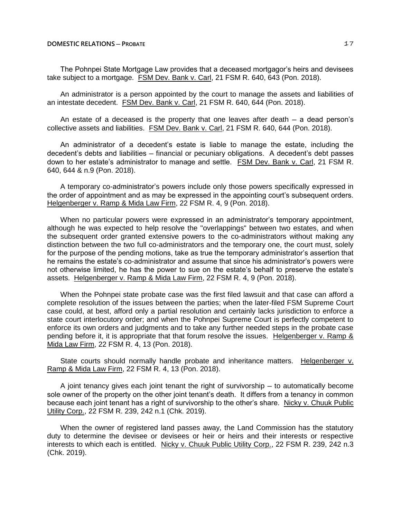The Pohnpei State Mortgage Law provides that a deceased mortgagor's heirs and devisees take subject to a mortgage. FSM Dev. Bank v. Carl, 21 FSM R. 640, 643 (Pon. 2018).

An administrator is a person appointed by the court to manage the assets and liabilities of an intestate decedent. FSM Dev. Bank v. Carl, 21 FSM R. 640, 644 (Pon. 2018).

An estate of a deceased is the property that one leaves after death  $-$  a dead person's collective assets and liabilities. FSM Dev. Bank v. Carl, 21 FSM R. 640, 644 (Pon. 2018).

An administrator of a decedent's estate is liable to manage the estate, including the decedent's debts and liabilities — financial or pecuniary obligations. A decedent's debt passes down to her estate's administrator to manage and settle. FSM Dev. Bank v. Carl, 21 FSM R. 640, 644 & n.9 (Pon. 2018).

A temporary co-administrator's powers include only those powers specifically expressed in the order of appointment and as may be expressed in the appointing court's subsequent orders. Helgenberger v. Ramp & Mida Law Firm, 22 FSM R. 4, 9 (Pon. 2018).

When no particular powers were expressed in an administrator's temporary appointment, although he was expected to help resolve the "overlappings" between two estates, and when the subsequent order granted extensive powers to the co-administrators without making any distinction between the two full co-administrators and the temporary one, the court must, solely for the purpose of the pending motions, take as true the temporary administrator's assertion that he remains the estate's co-administrator and assume that since his administrator's powers were not otherwise limited, he has the power to sue on the estate's behalf to preserve the estate's assets. Helgenberger v. Ramp & Mida Law Firm, 22 FSM R. 4, 9 (Pon. 2018).

When the Pohnpei state probate case was the first filed lawsuit and that case can afford a complete resolution of the issues between the parties; when the later-filed FSM Supreme Court case could, at best, afford only a partial resolution and certainly lacks jurisdiction to enforce a state court interlocutory order; and when the Pohnpei Supreme Court is perfectly competent to enforce its own orders and judgments and to take any further needed steps in the probate case pending before it, it is appropriate that that forum resolve the issues. Helgenberger v. Ramp & Mida Law Firm, 22 FSM R. 4, 13 (Pon. 2018).

State courts should normally handle probate and inheritance matters. Helgenberger v. Ramp & Mida Law Firm, 22 FSM R. 4, 13 (Pon. 2018).

A joint tenancy gives each joint tenant the right of survivorship  $-$  to automatically become sole owner of the property on the other joint tenant's death. It differs from a tenancy in common because each joint tenant has a right of survivorship to the other's share. Nicky v. Chuuk Public Utility Corp., 22 FSM R. 239, 242 n.1 (Chk. 2019).

When the owner of registered land passes away, the Land Commission has the statutory duty to determine the devisee or devisees or heir or heirs and their interests or respective interests to which each is entitled. Nicky v. Chuuk Public Utility Corp., 22 FSM R. 239, 242 n.3 (Chk. 2019).